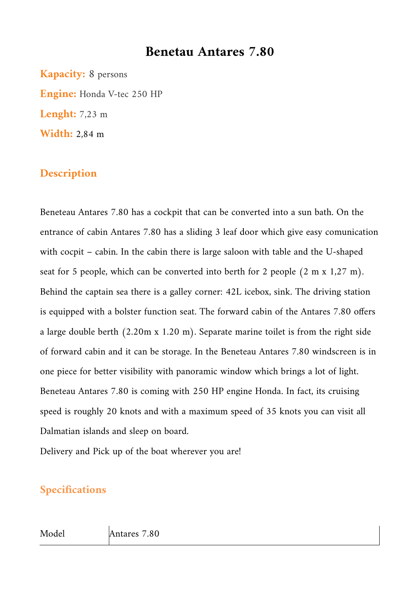## **Benetau Antares 7.80**

**Kapacity:** 8 persons **Engine:** Honda V-tec 250 HP **Lenght:** 7,23 m **Width:** 2,84 m

## **Description**

Beneteau Antares 7.80 has a cockpit that can be converted into a sun bath. On the entrance of cabin Antares 7.80 has a sliding 3 leaf door which give easy comunication with cocpit – cabin. In the cabin there is large saloon with table and the U-shaped seat for 5 people, which can be converted into berth for 2 people (2 m x 1,27 m). Behind the captain sea there is a galley corner: 42L icebox, sink. The driving station is equipped with a bolster function seat. The forward cabin of the Antares 7.80 offers a large double berth (2.20m x 1.20 m). Separate marine toilet is from the right side of forward cabin and it can be storage. In the Beneteau Antares 7.80 windscreen is in one piece for better visibility with panoramic window which brings a lot of light. Beneteau Antares 7.80 is coming with 250 HP engine Honda. In fact, its cruising speed is roughly 20 knots and with a maximum speed of 35 knots you can visit all Dalmatian islands and sleep on board.

Delivery and Pick up of the boat wherever you are!

## **Specifications**

#### Model Antares 7.80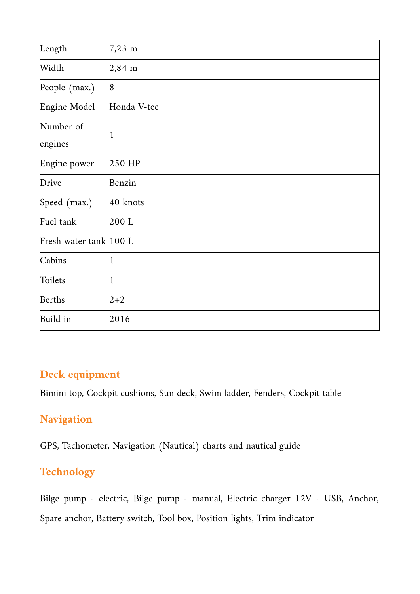| Length                  | $7,23 \, \text{m}$ |
|-------------------------|--------------------|
| Width                   | $2,84 \, \text{m}$ |
| People (max.)           | 8                  |
| Engine Model            | Honda V-tec        |
| Number of<br>engines    | 1                  |
| Engine power            | 250 HP             |
| Drive                   | Benzin             |
| Speed (max.)            | $40$ knots         |
| Fuel tank               | 200 L              |
| Fresh water tank  100 L |                    |
| Cabins                  | 1                  |
| Toilets                 | $\mathbf{1}$       |
| <b>Berths</b>           | $2 + 2$            |
| Build in                | 2016               |

## **Deck equipment**

Bimini top, Cockpit cushions, Sun deck, Swim ladder, Fenders, Cockpit table

## **Navigation**

GPS, Tachometer, Navigation (Nautical) charts and nautical guide

## **Technology**

Bilge pump - electric, Bilge pump - manual, Electric charger 12V - USB, Anchor, Spare anchor, Battery switch, Tool box, Position lights, Trim indicator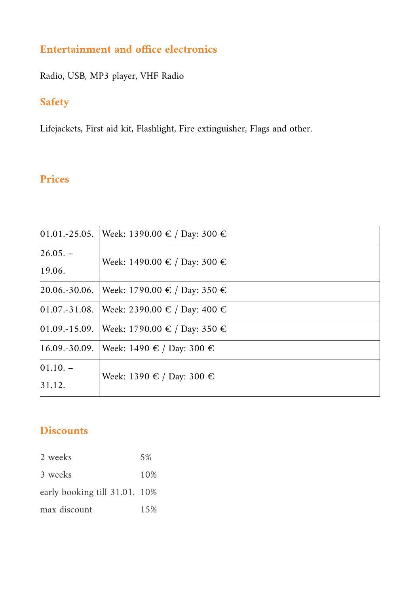## **Entertainment and office electronics**

Radio, USB, MP3 player, VHF Radio

## **Safety**

Lifejackets, First aid kit, Flashlight, Fire extinguisher, Flags and other.

## **Prices**

|                   | 01.01.-25.05. Week: 1390.00 € / Day: 300 €   |  |
|-------------------|----------------------------------------------|--|
| $26.05. -$        |                                              |  |
| 19.06.            | Week: 1490.00 € / Day: 300 €                 |  |
| $20.06 - 30.06$ . | Week: 1790.00 € / Day: 350 €                 |  |
|                   | 01.07.-31.08.   Week: 2390.00 € / Day: 400 € |  |
|                   | 01.09.-15.09.   Week: 1790.00 € / Day: 350 € |  |
| $16.09 - 30.09$ . | Week: 1490 € / Day: 300 €                    |  |
| $01.10. -$        |                                              |  |
| 31.12.            | Week: 1390 € / Day: 300 €                    |  |

## **Discounts**

| 2 weeks                       | 5%  |
|-------------------------------|-----|
| 3 weeks                       | 10% |
| early booking till 31.01. 10% |     |
| max discount                  | 15% |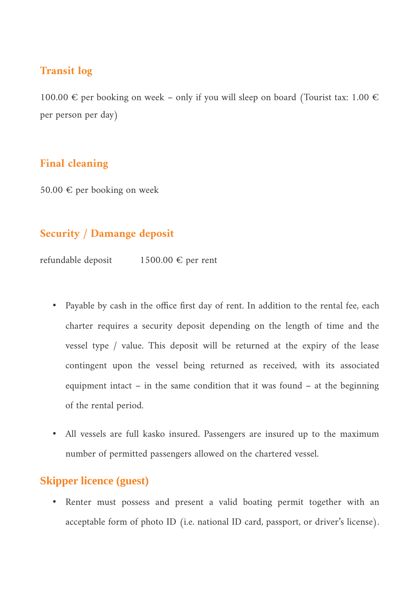#### **Transit log**

100.00  $\in$  per booking on week – only if you will sleep on board (Tourist tax: 1.00  $\in$ per person per day)

#### **Final cleaning**

50.00 € per booking on week

### **Security / Damange deposit**

refundable deposit  $1500.00 \in$  per rent

- Payable by cash in the office first day of rent. In addition to the rental fee, each charter requires a security deposit depending on the length of time and the vessel type / value. This deposit will be returned at the expiry of the lease contingent upon the vessel being returned as received, with its associated equipment intact – in the same condition that it was found – at the beginning of the rental period.
- All vessels are full kasko insured. Passengers are insured up to the maximum number of permitted passengers allowed on the chartered vessel.

## **Skipper licence (guest)**

• Renter must possess and present a valid boating permit together with an acceptable form of photo ID (i.e. national ID card, passport, or driver's license).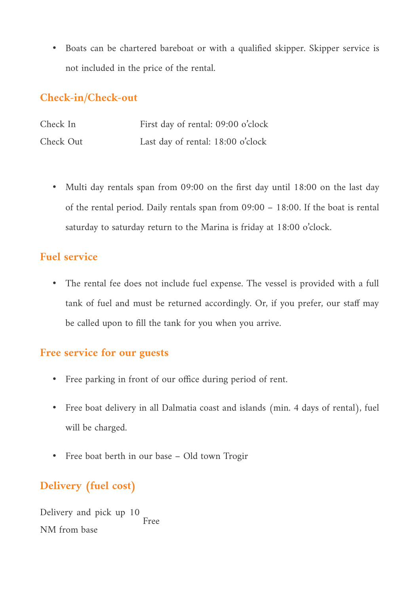• Boats can be chartered bareboat or with a qualified skipper. Skipper service is not included in the price of the rental.

## **Check-in/Check-out**

| Check In  | First day of rental: 09:00 o'clock |
|-----------|------------------------------------|
| Check Out | Last day of rental: 18:00 o'clock  |

• Multi day rentals span from 09:00 on the first day until 18:00 on the last day of the rental period. Daily rentals span from 09:00 – 18:00. If the boat is rental saturday to saturday return to the Marina is friday at 18:00 o'clock.

## **Fuel service**

• The rental fee does not include fuel expense. The vessel is provided with a full tank of fuel and must be returned accordingly. Or, if you prefer, our staff may be called upon to fill the tank for you when you arrive.

## **Free service for our guests**

- Free parking in front of our office during period of rent.
- Free boat delivery in all Dalmatia coast and islands (min. 4 days of rental), fuel will be charged.
- Free boat berth in our base Old town Trogir

# **Delivery (fuel cost)**

Delivery and pick up 10 NM from base Free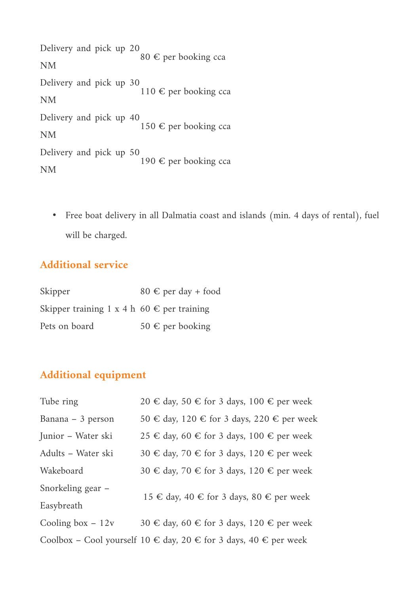Delivery and pick up 20 NM 80 € per booking cca Delivery and pick up 30 NM 110 € per booking cca Delivery and pick up 40 NM 150 € per booking cca Delivery and pick up 50 NM 190 € per booking cca

• Free boat delivery in all Dalmatia coast and islands (min. 4 days of rental), fuel will be charged.

## **Additional service**

| Skipper                                             | $80 \text{ } \in \text{per}$ day + food |
|-----------------------------------------------------|-----------------------------------------|
| Skipper training 1 x 4 h 60 $\epsilon$ per training |                                         |
| Pets on board                                       | 50 € per booking                        |

## **Additional equipment**

| Tube ring          | 20 € day, 50 € for 3 days, 100 € per week                                    |  |
|--------------------|------------------------------------------------------------------------------|--|
| Banana – 3 person  | 50 € day, 120 € for 3 days, 220 € per week                                   |  |
| Junior – Water ski | 25 € day, 60 € for 3 days, 100 € per week                                    |  |
| Adults – Water ski | 30 € day, 70 € for 3 days, 120 € per week                                    |  |
| Wakeboard          | 30 € day, 70 € for 3 days, 120 € per week                                    |  |
| Snorkeling gear –  |                                                                              |  |
| Easybreath         | 15 € day, 40 € for 3 days, 80 € per week                                     |  |
| Cooling box $-12v$ | 30 € day, 60 € for 3 days, 120 € per week                                    |  |
|                    | Coolbox – Cool yourself $10 \in$ day, $20 \in$ for 3 days, $40 \in$ per week |  |